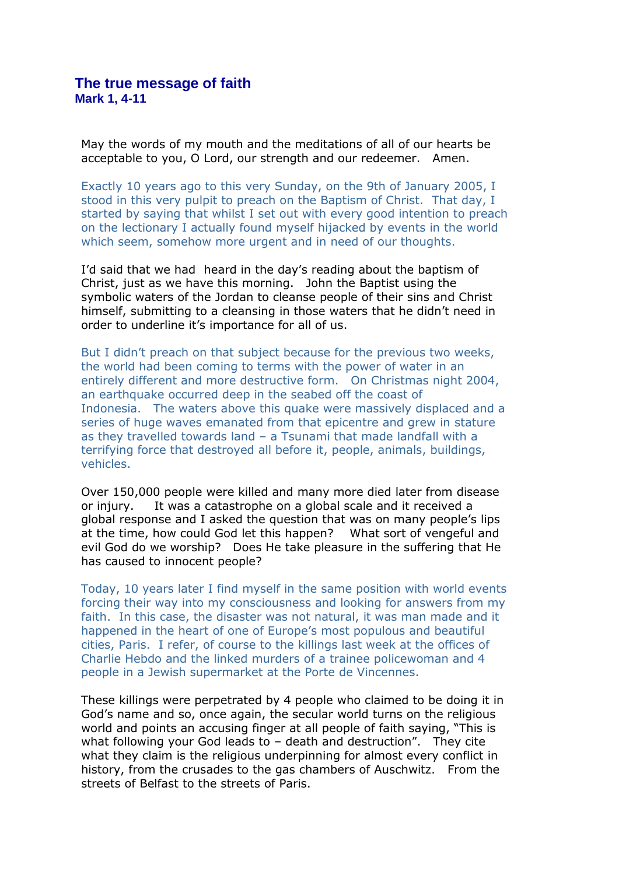May the words of my mouth and the meditations of all of our hearts be acceptable to you, O Lord, our strength and our redeemer. Amen.

Exactly 10 years ago to this very Sunday, on the 9th of January 2005, I stood in this very pulpit to preach on the Baptism of Christ. That day, I started by saying that whilst I set out with every good intention to preach on the lectionary I actually found myself hijacked by events in the world which seem, somehow more urgent and in need of our thoughts.

I'd said that we had heard in the day's reading about the baptism of Christ, just as we have this morning. John the Baptist using the symbolic waters of the Jordan to cleanse people of their sins and Christ himself, submitting to a cleansing in those waters that he didn't need in order to underline it's importance for all of us.

But I didn't preach on that subject because for the previous two weeks, the world had been coming to terms with the power of water in an entirely different and more destructive form. On Christmas night 2004, an earthquake occurred deep in the seabed off the coast of Indonesia. The waters above this quake were massively displaced and a series of huge waves emanated from that epicentre and grew in stature as they travelled towards land – a Tsunami that made landfall with a terrifying force that destroyed all before it, people, animals, buildings, vehicles.

Over 150,000 people were killed and many more died later from disease or injury. It was a catastrophe on a global scale and it received a global response and I asked the question that was on many people's lips at the time, how could God let this happen? What sort of vengeful and evil God do we worship? Does He take pleasure in the suffering that He has caused to innocent people?

Today, 10 years later I find myself in the same position with world events forcing their way into my consciousness and looking for answers from my faith. In this case, the disaster was not natural, it was man made and it happened in the heart of one of Europe's most populous and beautiful cities, Paris. I refer, of course to the killings last week at the offices of Charlie Hebdo and the linked murders of a trainee policewoman and 4 people in a Jewish supermarket at the Porte de Vincennes.

These killings were perpetrated by 4 people who claimed to be doing it in God's name and so, once again, the secular world turns on the religious world and points an accusing finger at all people of faith saying, "This is what following your God leads to – death and destruction". They cite what they claim is the religious underpinning for almost every conflict in history, from the crusades to the gas chambers of Auschwitz. From the streets of Belfast to the streets of Paris.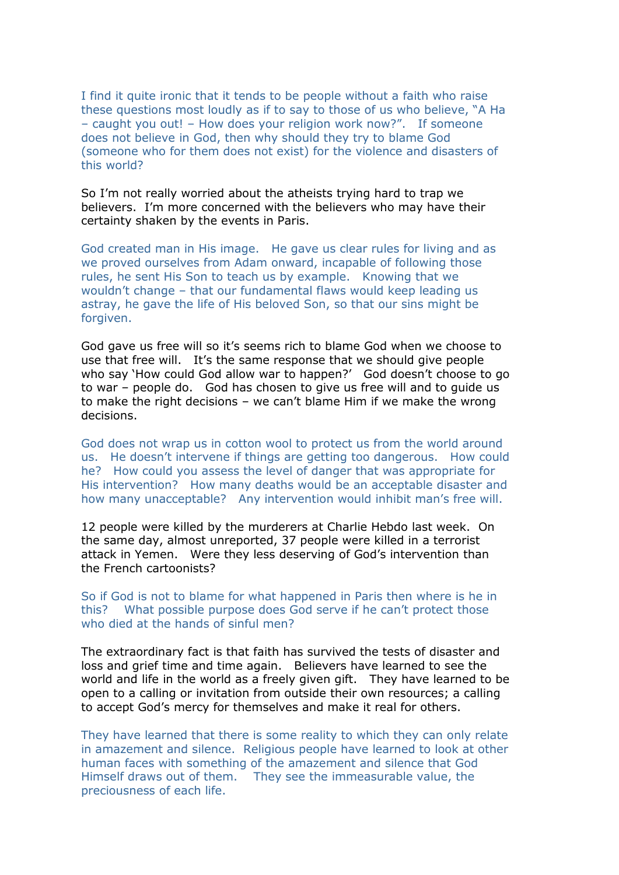I find it quite ironic that it tends to be people without a faith who raise these questions most loudly as if to say to those of us who believe, "A Ha – caught you out! – How does your religion work now?". If someone does not believe in God, then why should they try to blame God (someone who for them does not exist) for the violence and disasters of this world?

So I'm not really worried about the atheists trying hard to trap we believers. I'm more concerned with the believers who may have their certainty shaken by the events in Paris.

God created man in His image. He gave us clear rules for living and as we proved ourselves from Adam onward, incapable of following those rules, he sent His Son to teach us by example. Knowing that we wouldn't change – that our fundamental flaws would keep leading us astray, he gave the life of His beloved Son, so that our sins might be forgiven.

God gave us free will so it's seems rich to blame God when we choose to use that free will. It's the same response that we should give people who say 'How could God allow war to happen?' God doesn't choose to go to war – people do. God has chosen to give us free will and to guide us to make the right decisions – we can't blame Him if we make the wrong decisions.

God does not wrap us in cotton wool to protect us from the world around us. He doesn't intervene if things are getting too dangerous. How could he? How could you assess the level of danger that was appropriate for His intervention? How many deaths would be an acceptable disaster and how many unacceptable? Any intervention would inhibit man's free will.

12 people were killed by the murderers at Charlie Hebdo last week. On the same day, almost unreported, 37 people were killed in a terrorist attack in Yemen. Were they less deserving of God's intervention than the French cartoonists?

So if God is not to blame for what happened in Paris then where is he in this? What possible purpose does God serve if he can't protect those who died at the hands of sinful men?

The extraordinary fact is that faith has survived the tests of disaster and loss and grief time and time again. Believers have learned to see the world and life in the world as a freely given gift. They have learned to be open to a calling or invitation from outside their own resources; a calling to accept God's mercy for themselves and make it real for others.

They have learned that there is some reality to which they can only relate in amazement and silence. Religious people have learned to look at other human faces with something of the amazement and silence that God Himself draws out of them. They see the immeasurable value, the preciousness of each life.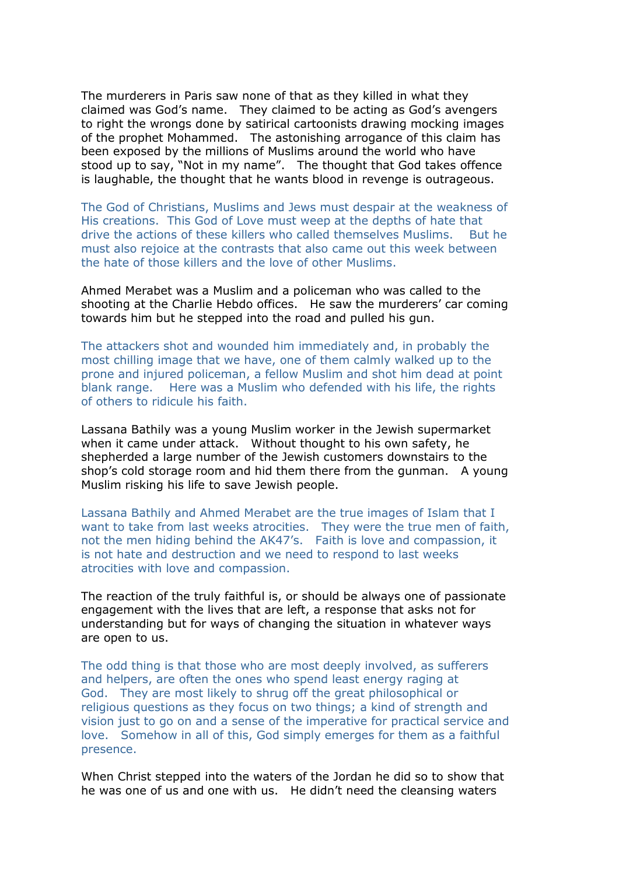The murderers in Paris saw none of that as they killed in what they claimed was God's name. They claimed to be acting as God's avengers to right the wrongs done by satirical cartoonists drawing mocking images of the prophet Mohammed. The astonishing arrogance of this claim has been exposed by the millions of Muslims around the world who have stood up to say, "Not in my name". The thought that God takes offence is laughable, the thought that he wants blood in revenge is outrageous.

The God of Christians, Muslims and Jews must despair at the weakness of His creations. This God of Love must weep at the depths of hate that drive the actions of these killers who called themselves Muslims. But he must also rejoice at the contrasts that also came out this week between the hate of those killers and the love of other Muslims.

Ahmed Merabet was a Muslim and a policeman who was called to the shooting at the Charlie Hebdo offices. He saw the murderers' car coming towards him but he stepped into the road and pulled his gun.

The attackers shot and wounded him immediately and, in probably the most chilling image that we have, one of them calmly walked up to the prone and injured policeman, a fellow Muslim and shot him dead at point blank range. Here was a Muslim who defended with his life, the rights of others to ridicule his faith.

Lassana Bathily was a young Muslim worker in the Jewish supermarket when it came under attack. Without thought to his own safety, he shepherded a large number of the Jewish customers downstairs to the shop's cold storage room and hid them there from the gunman. A young Muslim risking his life to save Jewish people.

Lassana Bathily and Ahmed Merabet are the true images of Islam that I want to take from last weeks atrocities. They were the true men of faith, not the men hiding behind the AK47's. Faith is love and compassion, it is not hate and destruction and we need to respond to last weeks atrocities with love and compassion.

The reaction of the truly faithful is, or should be always one of passionate engagement with the lives that are left, a response that asks not for understanding but for ways of changing the situation in whatever ways are open to us.

The odd thing is that those who are most deeply involved, as sufferers and helpers, are often the ones who spend least energy raging at God. They are most likely to shrug off the great philosophical or religious questions as they focus on two things; a kind of strength and vision just to go on and a sense of the imperative for practical service and love. Somehow in all of this, God simply emerges for them as a faithful presence.

When Christ stepped into the waters of the Jordan he did so to show that he was one of us and one with us. He didn't need the cleansing waters